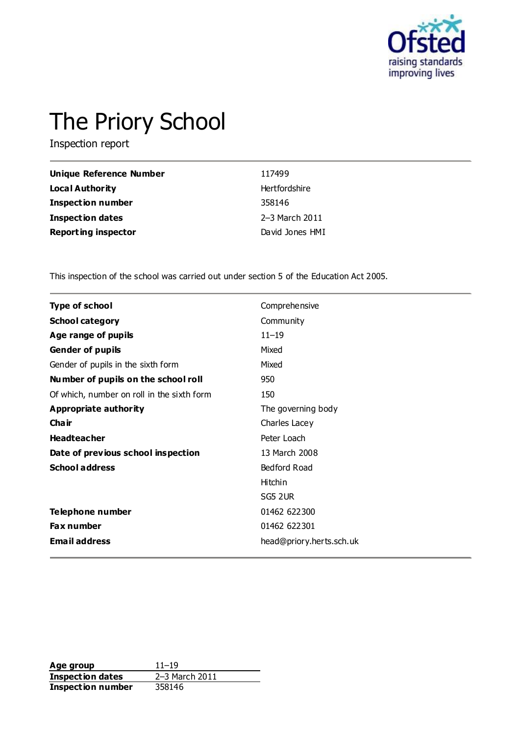

# The Priory School

Inspection report

| Unique Reference Number    | 117499          |
|----------------------------|-----------------|
| Local Authority            | Hertfordshire   |
| <b>Inspection number</b>   | 358146          |
| <b>Inspection dates</b>    | 2–3 March 2011  |
| <b>Reporting inspector</b> | David Jones HMI |

This inspection of the school was carried out under section 5 of the Education Act 2005.

| <b>Type of school</b>                      | Comprehensive            |
|--------------------------------------------|--------------------------|
| <b>School category</b>                     | Community                |
| Age range of pupils                        | $11 - 19$                |
| <b>Gender of pupils</b>                    | Mixed                    |
| Gender of pupils in the sixth form         | Mixed                    |
| Number of pupils on the school roll        | 950                      |
| Of which, number on roll in the sixth form | 150                      |
| Appropriate authority                      | The governing body       |
| Cha ir                                     | Charles Lacey            |
| <b>Headteacher</b>                         | Peter Loach              |
| Date of previous school inspection         | 13 March 2008            |
| <b>School address</b>                      | Bedford Road             |
|                                            | <b>Hitchin</b>           |
|                                            | SG5 2UR                  |
| <b>Telephone number</b>                    | 01462 622300             |
| Fax number                                 | 01462 622301             |
| <b>Email address</b>                       | head@priory.herts.sch.uk |

**Age group** 11–19<br> **Inspection dates** 2–3 March 2011 **Inspection dates** 2–3 March 2011 **Inspection number** 358146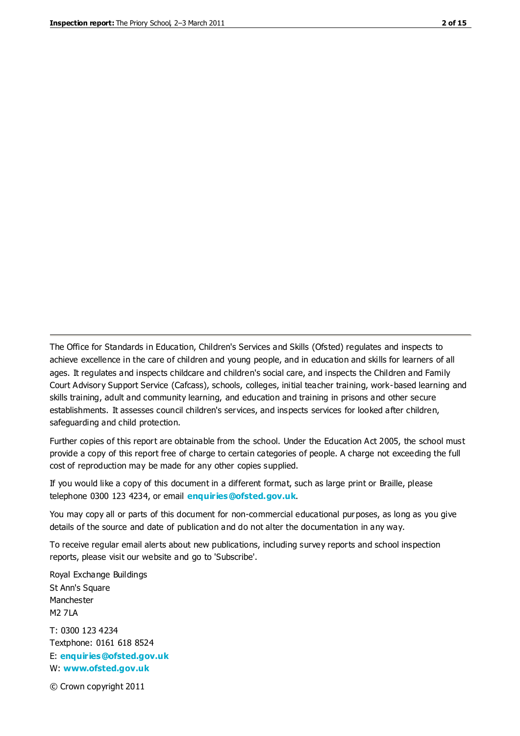The Office for Standards in Education, Children's Services and Skills (Ofsted) regulates and inspects to achieve excellence in the care of children and young people, and in education and skills for learners of all ages. It regulates and inspects childcare and children's social care, and inspects the Children and Family Court Advisory Support Service (Cafcass), schools, colleges, initial teacher training, work-based learning and skills training, adult and community learning, and education and training in prisons and other secure establishments. It assesses council children's services, and inspects services for looked after children, safeguarding and child protection.

Further copies of this report are obtainable from the school. Under the Education Act 2005, the school must provide a copy of this report free of charge to certain categories of people. A charge not exceeding the full cost of reproduction may be made for any other copies supplied.

If you would like a copy of this document in a different format, such as large print or Braille, please telephone 0300 123 4234, or email **[enquiries@ofsted.gov.uk](mailto:enquiries@ofsted.gov.uk)**.

You may copy all or parts of this document for non-commercial educational purposes, as long as you give details of the source and date of publication and do not alter the documentation in any way.

To receive regular email alerts about new publications, including survey reports and school inspection reports, please visit our website and go to 'Subscribe'.

Royal Exchange Buildings St Ann's Square Manchester M2 7LA T: 0300 123 4234 Textphone: 0161 618 8524 E: **[enquiries@ofsted.gov.uk](mailto:enquiries@ofsted.gov.uk)**

W: **[www.ofsted.gov.uk](http://www.ofsted.gov.uk/)**

© Crown copyright 2011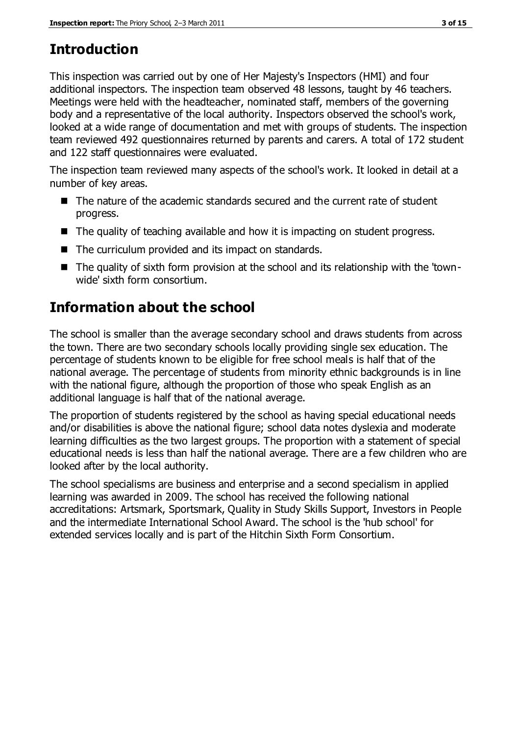# **Introduction**

This inspection was carried out by one of Her Majesty's Inspectors (HMI) and four additional inspectors. The inspection team observed 48 lessons, taught by 46 teachers. Meetings were held with the headteacher, nominated staff, members of the governing body and a representative of the local authority. Inspectors observed the school's work, looked at a wide range of documentation and met with groups of students. The inspection team reviewed 492 questionnaires returned by parents and carers. A total of 172 student and 122 staff questionnaires were evaluated.

The inspection team reviewed many aspects of the school's work. It looked in detail at a number of key areas.

- The nature of the academic standards secured and the current rate of student progress.
- The quality of teaching available and how it is impacting on student progress.
- The curriculum provided and its impact on standards.
- The quality of sixth form provision at the school and its relationship with the 'townwide' sixth form consortium.

# **Information about the school**

The school is smaller than the average secondary school and draws students from across the town. There are two secondary schools locally providing single sex education. The percentage of students known to be eligible for free school meals is half that of the national average. The percentage of students from minority ethnic backgrounds is in line with the national figure, although the proportion of those who speak English as an additional language is half that of the national average.

The proportion of students registered by the school as having special educational needs and/or disabilities is above the national figure; school data notes dyslexia and moderate learning difficulties as the two largest groups. The proportion with a statement of special educational needs is less than half the national average. There are a few children who are looked after by the local authority.

The school specialisms are business and enterprise and a second specialism in applied learning was awarded in 2009. The school has received the following national accreditations: Artsmark, Sportsmark, Quality in Study Skills Support, Investors in People and the intermediate International School Award. The school is the 'hub school' for extended services locally and is part of the Hitchin Sixth Form Consortium.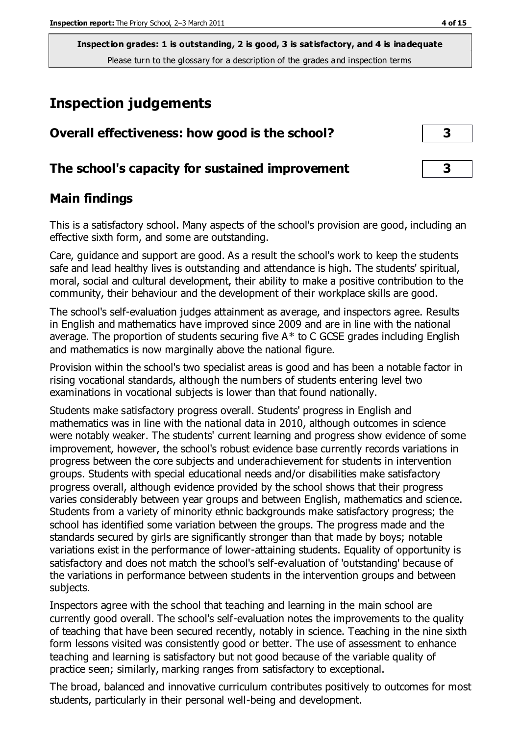# **Inspection judgements**

| Overall effectiveness: how good is the school?  |                         |  |
|-------------------------------------------------|-------------------------|--|
| The school's capacity for sustained improvement | $\overline{\mathbf{3}}$ |  |

#### **Main findings**

This is a satisfactory school. Many aspects of the school's provision are good, including an effective sixth form, and some are outstanding.

Care, guidance and support are good. As a result the school's work to keep the students safe and lead healthy lives is outstanding and attendance is high. The students' spiritual, moral, social and cultural development, their ability to make a positive contribution to the community, their behaviour and the development of their workplace skills are good.

The school's self-evaluation judges attainment as average, and inspectors agree. Results in English and mathematics have improved since 2009 and are in line with the national average. The proportion of students securing five  $A^*$  to C GCSE grades including English and mathematics is now marginally above the national figure.

Provision within the school's two specialist areas is good and has been a notable factor in rising vocational standards, although the numbers of students entering level two examinations in vocational subjects is lower than that found nationally.

Students make satisfactory progress overall. Students' progress in English and mathematics was in line with the national data in 2010, although outcomes in science were notably weaker. The students' current learning and progress show evidence of some improvement, however, the school's robust evidence base currently records variations in progress between the core subjects and underachievement for students in intervention groups. Students with special educational needs and/or disabilities make satisfactory progress overall, although evidence provided by the school shows that their progress varies considerably between year groups and between English, mathematics and science. Students from a variety of minority ethnic backgrounds make satisfactory progress; the school has identified some variation between the groups. The progress made and the standards secured by girls are significantly stronger than that made by boys; notable variations exist in the performance of lower-attaining students. Equality of opportunity is satisfactory and does not match the school's self-evaluation of 'outstanding' because of the variations in performance between students in the intervention groups and between subjects.

Inspectors agree with the school that teaching and learning in the main school are currently good overall. The school's self-evaluation notes the improvements to the quality of teaching that have been secured recently, notably in science. Teaching in the nine sixth form lessons visited was consistently good or better. The use of assessment to enhance teaching and learning is satisfactory but not good because of the variable quality of practice seen; similarly, marking ranges from satisfactory to exceptional.

The broad, balanced and innovative curriculum contributes positively to outcomes for most students, particularly in their personal well-being and development.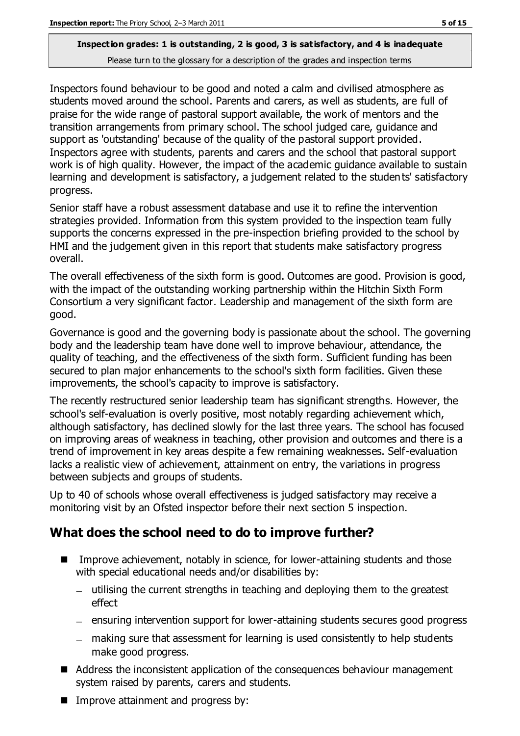Inspectors found behaviour to be good and noted a calm and civilised atmosphere as students moved around the school. Parents and carers, as well as students, are full of praise for the wide range of pastoral support available, the work of mentors and the transition arrangements from primary school. The school judged care, guidance and support as 'outstanding' because of the quality of the pastoral support provided. Inspectors agree with students, parents and carers and the school that pastoral support work is of high quality. However, the impact of the academic guidance available to sustain learning and development is satisfactory, a judgement related to the students' satisfactory progress.

Senior staff have a robust assessment database and use it to refine the intervention strategies provided. Information from this system provided to the inspection team fully supports the concerns expressed in the pre-inspection briefing provided to the school by HMI and the judgement given in this report that students make satisfactory progress overall.

The overall effectiveness of the sixth form is good. Outcomes are good. Provision is good, with the impact of the outstanding working partnership within the Hitchin Sixth Form Consortium a very significant factor. Leadership and management of the sixth form are good.

Governance is good and the governing body is passionate about the school. The governing body and the leadership team have done well to improve behaviour, attendance, the quality of teaching, and the effectiveness of the sixth form. Sufficient funding has been secured to plan major enhancements to the school's sixth form facilities. Given these improvements, the school's capacity to improve is satisfactory.

The recently restructured senior leadership team has significant strengths. However, the school's self-evaluation is overly positive, most notably regarding achievement which, although satisfactory, has declined slowly for the last three years. The school has focused on improving areas of weakness in teaching, other provision and outcomes and there is a trend of improvement in key areas despite a few remaining weaknesses. Self-evaluation lacks a realistic view of achievement, attainment on entry, the variations in progress between subjects and groups of students.

Up to 40 of schools whose overall effectiveness is judged satisfactory may receive a monitoring visit by an Ofsted inspector before their next section 5 inspection.

### **What does the school need to do to improve further?**

- Improve achievement, notably in science, for lower-attaining students and those with special educational needs and/or disabilities by:
	- utilising the current strengths in teaching and deploying them to the greatest effect
	- ensuring intervention support for lower-attaining students secures good progress
	- making sure that assessment for learning is used consistently to help students make good progress.
- Address the inconsistent application of the consequences behaviour management system raised by parents, carers and students.
- Improve attainment and progress by: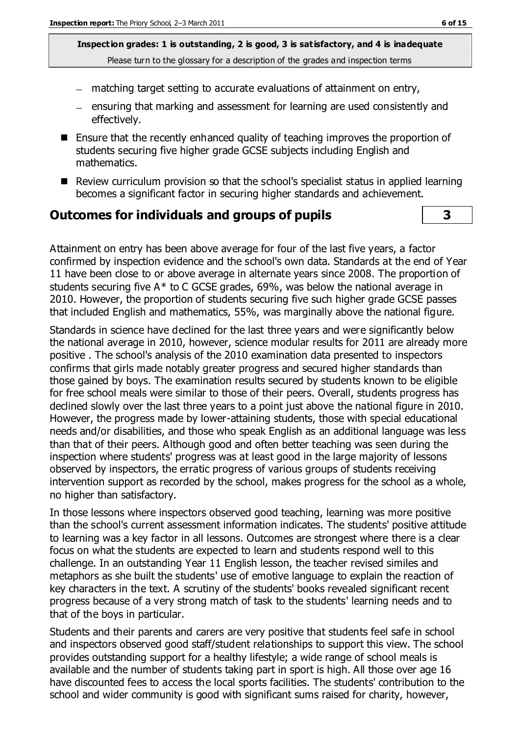- $-$  matching target setting to accurate evaluations of attainment on entry,
- ensuring that marking and assessment for learning are used consistently and effectively.
- Ensure that the recently enhanced quality of teaching improves the proportion of students securing five higher grade GCSE subjects including English and mathematics.
- Review curriculum provision so that the school's specialist status in applied learning becomes a significant factor in securing higher standards and achievement.

#### **Outcomes for individuals and groups of pupils 3**

Attainment on entry has been above average for four of the last five years, a factor confirmed by inspection evidence and the school's own data. Standards at the end of Year 11 have been close to or above average in alternate years since 2008. The proportion of students securing five A\* to C GCSE grades, 69%, was below the national average in 2010. However, the proportion of students securing five such higher grade GCSE passes that included English and mathematics, 55%, was marginally above the national figure.

Standards in science have declined for the last three years and were significantly below the national average in 2010, however, science modular results for 2011 are already more positive . The school's analysis of the 2010 examination data presented to inspectors confirms that girls made notably greater progress and secured higher standards than those gained by boys. The examination results secured by students known to be eligible for free school meals were similar to those of their peers. Overall, students progress has declined slowly over the last three years to a point just above the national figure in 2010. However, the progress made by lower-attaining students, those with special educational needs and/or disabilities, and those who speak English as an additional language was less than that of their peers. Although good and often better teaching was seen during the inspection where students' progress was at least good in the large majority of lessons observed by inspectors, the erratic progress of various groups of students receiving intervention support as recorded by the school, makes progress for the school as a whole, no higher than satisfactory.

In those lessons where inspectors observed good teaching, learning was more positive than the school's current assessment information indicates. The students' positive attitude to learning was a key factor in all lessons. Outcomes are strongest where there is a clear focus on what the students are expected to learn and students respond well to this challenge. In an outstanding Year 11 English lesson, the teacher revised similes and metaphors as she built the students' use of emotive language to explain the reaction of key characters in the text. A scrutiny of the students' books revealed significant recent progress because of a very strong match of task to the students' learning needs and to that of the boys in particular.

Students and their parents and carers are very positive that students feel safe in school and inspectors observed good staff/student relationships to support this view. The school provides outstanding support for a healthy lifestyle; a wide range of school meals is available and the number of students taking part in sport is high. All those over age 16 have discounted fees to access the local sports facilities. The students' contribution to the school and wider community is good with significant sums raised for charity, however,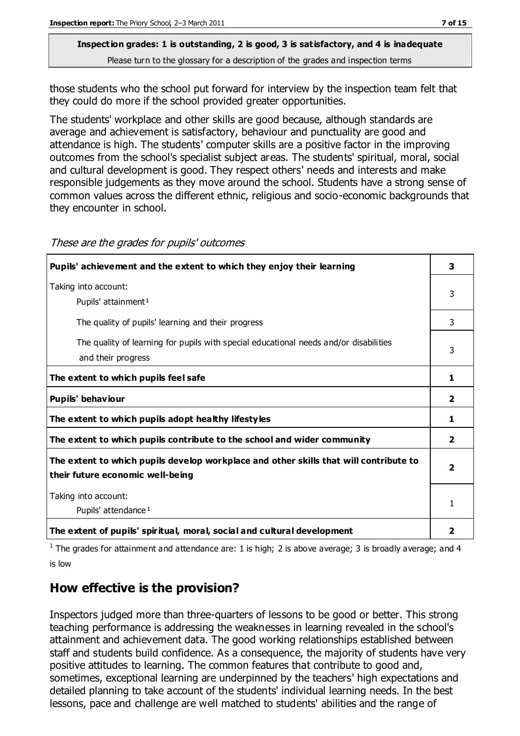those students who the school put forward for interview by the inspection team felt that they could do more if the school provided greater opportunities.

The students' workplace and other skills are good because, although standards are average and achievement is satisfactory, behaviour and punctuality are good and attendance is high. The students' computer skills are a positive factor in the improving outcomes from the school's specialist subject areas. The students' spiritual, moral, social and cultural development is good. They respect others' needs and interests and make responsible judgements as they move around the school. Students have a strong sense of common values across the different ethnic, religious and socio-economic backgrounds that they encounter in school.

| Pupils' achievement and the extent to which they enjoy their learning                                                     | 3            |
|---------------------------------------------------------------------------------------------------------------------------|--------------|
| Taking into account:<br>Pupils' attainment <sup>1</sup>                                                                   | 3            |
| The quality of pupils' learning and their progress                                                                        | 3            |
| The quality of learning for pupils with special educational needs and/or disabilities<br>and their progress               | 3            |
| The extent to which pupils feel safe                                                                                      | 1            |
| Pupils' behaviour                                                                                                         | $\mathbf{2}$ |
| The extent to which pupils adopt healthy lifestyles                                                                       | 1            |
| The extent to which pupils contribute to the school and wider community                                                   | $\mathbf{z}$ |
| The extent to which pupils develop workplace and other skills that will contribute to<br>their future economic well-being | 2            |
| Taking into account:<br>Pupils' attendance <sup>1</sup>                                                                   | 1            |
| The extent of pupils' spiritual, moral, social and cultural development                                                   | 2            |

These are the grades for pupils' outcomes

<sup>1</sup> The grades for attainment and attendance are: 1 is high; 2 is above average; 3 is broadly average; and 4 is low

#### **How effective is the provision?**

Inspectors judged more than three-quarters of lessons to be good or better. This strong teaching performance is addressing the weaknesses in learning revealed in the school's attainment and achievement data. The good working relationships established between staff and students build confidence. As a consequence, the majority of students have very positive attitudes to learning. The common features that contribute to good and, sometimes, exceptional learning are underpinned by the teachers' high expectations and detailed planning to take account of the students' individual learning needs. In the best lessons, pace and challenge are well matched to students' abilities and the range of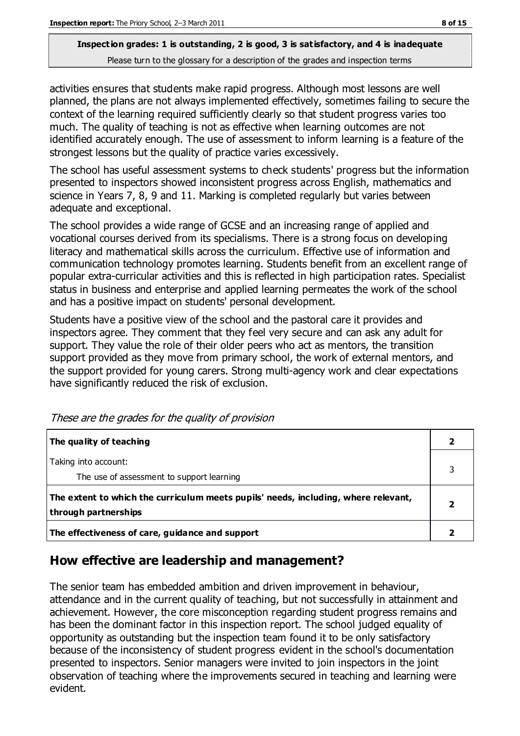# **Inspection grades: 1 is outstanding, 2 is good, 3 is satisfactory, and 4 is inadequate**

Please turn to the glossary for a description of the grades and inspection terms

activities ensures that students make rapid progress. Although most lessons are well planned, the plans are not always implemented effectively, sometimes failing to secure the context of the learning required sufficiently clearly so that student progress varies too much. The quality of teaching is not as effective when learning outcomes are not identified accurately enough. The use of assessment to inform learning is a feature of the strongest lessons but the quality of practice varies excessively.

The school has useful assessment systems to check students' progress but the information presented to inspectors showed inconsistent progress across English, mathematics and science in Years 7, 8, 9 and 11. Marking is completed regularly but varies between adequate and exceptional.

The school provides a wide range of GCSE and an increasing range of applied and vocational courses derived from its specialisms. There is a strong focus on developing literacy and mathematical skills across the curriculum. Effective use of information and communication technology promotes learning. Students benefit from an excellent range of popular extra-curricular activities and this is reflected in high participation rates. Specialist status in business and enterprise and applied learning permeates the work of the school and has a positive impact on students' personal development.

Students have a positive view of the school and the pastoral care it provides and inspectors agree. They comment that they feel very secure and can ask any adult for support. They value the role of their older peers who act as mentors, the transition support provided as they move from primary school, the work of external mentors, and the support provided for young carers. Strong multi-agency work and clear expectations have significantly reduced the risk of exclusion.

| The quality of teaching                                                                                    |  |
|------------------------------------------------------------------------------------------------------------|--|
| Taking into account:<br>The use of assessment to support learning                                          |  |
| The extent to which the curriculum meets pupils' needs, including, where relevant,<br>through partnerships |  |
| The effectiveness of care, guidance and support                                                            |  |

These are the grades for the quality of provision

### **How effective are leadership and management?**

The senior team has embedded ambition and driven improvement in behaviour, attendance and in the current quality of teaching, but not successfully in attainment and achievement. However, the core misconception regarding student progress remains and has been the dominant factor in this inspection report. The school judged equality of opportunity as outstanding but the inspection team found it to be only satisfactory because of the inconsistency of student progress evident in the school's documentation presented to inspectors. Senior managers were invited to join inspectors in the joint observation of teaching where the improvements secured in teaching and learning were evident.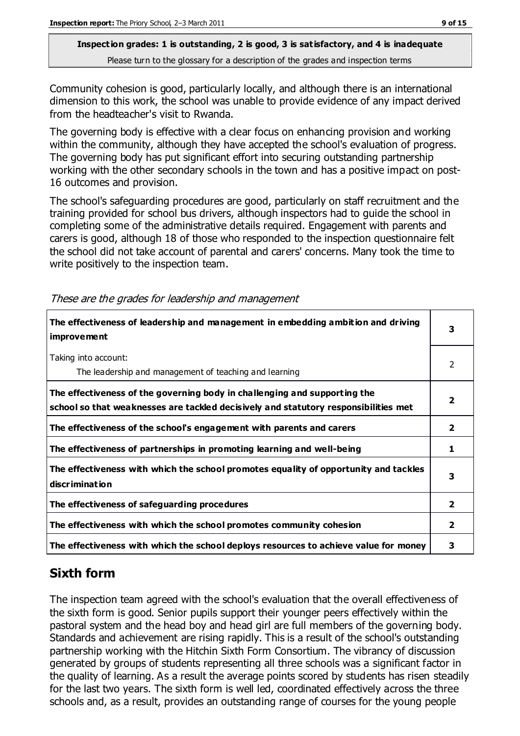Community cohesion is good, particularly locally, and although there is an international dimension to this work, the school was unable to provide evidence of any impact derived from the headteacher's visit to Rwanda.

The governing body is effective with a clear focus on enhancing provision and working within the community, although they have accepted the school's evaluation of progress. The governing body has put significant effort into securing outstanding partnership working with the other secondary schools in the town and has a positive impact on post-16 outcomes and provision.

The school's safeguarding procedures are good, particularly on staff recruitment and the training provided for school bus drivers, although inspectors had to guide the school in completing some of the administrative details required. Engagement with parents and carers is good, although 18 of those who responded to the inspection questionnaire felt the school did not take account of parental and carers' concerns. Many took the time to write positively to the inspection team.

| The effectiveness of leadership and management in embedding ambition and driving<br><i>improvement</i>                                                           | 3              |
|------------------------------------------------------------------------------------------------------------------------------------------------------------------|----------------|
| Taking into account:<br>The leadership and management of teaching and learning                                                                                   | 2              |
| The effectiveness of the governing body in challenging and supporting the<br>school so that weaknesses are tackled decisively and statutory responsibilities met | $\overline{2}$ |
| The effectiveness of the school's engagement with parents and carers                                                                                             | $\overline{2}$ |
| The effectiveness of partnerships in promoting learning and well-being                                                                                           | 1              |
| The effectiveness with which the school promotes equality of opportunity and tackles<br>discrimination                                                           | 3              |
| The effectiveness of safeguarding procedures                                                                                                                     | $\overline{2}$ |
| The effectiveness with which the school promotes community cohesion                                                                                              | 2              |
| The effectiveness with which the school deploys resources to achieve value for money                                                                             | з              |

These are the grades for leadership and management

# **Sixth form**

The inspection team agreed with the school's evaluation that the overall effectiveness of the sixth form is good. Senior pupils support their younger peers effectively within the pastoral system and the head boy and head girl are full members of the governing body. Standards and achievement are rising rapidly. This is a result of the school's outstanding partnership working with the Hitchin Sixth Form Consortium. The vibrancy of discussion generated by groups of students representing all three schools was a significant factor in the quality of learning. As a result the average points scored by students has risen steadily for the last two years. The sixth form is well led, coordinated effectively across the three schools and, as a result, provides an outstanding range of courses for the young people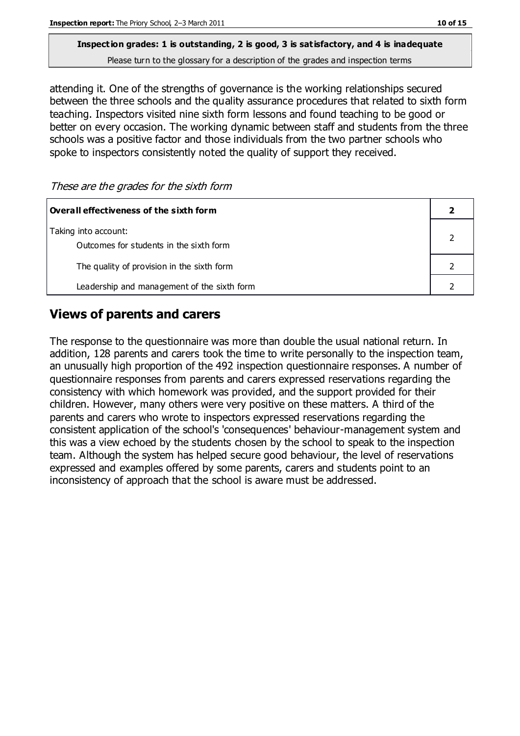# **Inspection grades: 1 is outstanding, 2 is good, 3 is satisfactory, and 4 is inadequate**

Please turn to the glossary for a description of the grades and inspection terms

attending it. One of the strengths of governance is the working relationships secured between the three schools and the quality assurance procedures that related to sixth form teaching. Inspectors visited nine sixth form lessons and found teaching to be good or better on every occasion. The working dynamic between staff and students from the three schools was a positive factor and those individuals from the two partner schools who spoke to inspectors consistently noted the quality of support they received.

| Overall effectiveness of the sixth form                         |  |
|-----------------------------------------------------------------|--|
| Taking into account:<br>Outcomes for students in the sixth form |  |
| The quality of provision in the sixth form                      |  |
| Leadership and management of the sixth form                     |  |

#### **Views of parents and carers**

The response to the questionnaire was more than double the usual national return. In addition, 128 parents and carers took the time to write personally to the inspection team, an unusually high proportion of the 492 inspection questionnaire responses. A number of questionnaire responses from parents and carers expressed reservations regarding the consistency with which homework was provided, and the support provided for their children. However, many others were very positive on these matters. A third of the parents and carers who wrote to inspectors expressed reservations regarding the consistent application of the school's 'consequences' behaviour-management system and this was a view echoed by the students chosen by the school to speak to the inspection team. Although the system has helped secure good behaviour, the level of reservations expressed and examples offered by some parents, carers and students point to an inconsistency of approach that the school is aware must be addressed.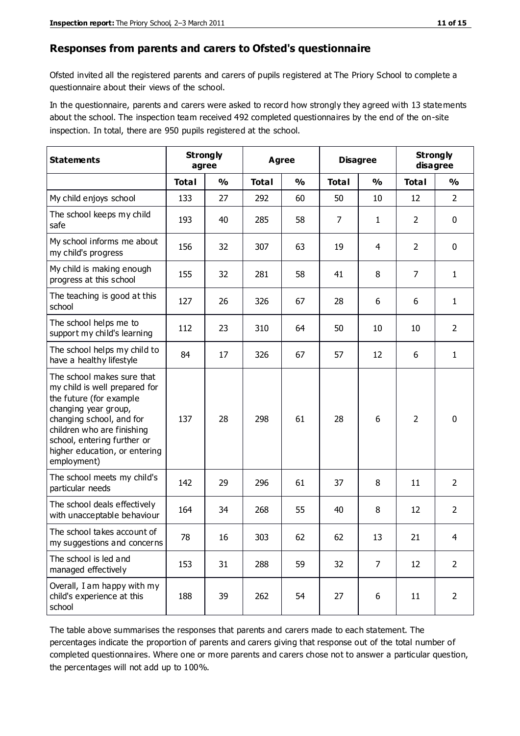#### **Responses from parents and carers to Ofsted's questionnaire**

Ofsted invited all the registered parents and carers of pupils registered at The Priory School to complete a questionnaire about their views of the school.

In the questionnaire, parents and carers were asked to record how strongly they agreed with 13 statements about the school. The inspection team received 492 completed questionnaires by the end of the on-site inspection. In total, there are 950 pupils registered at the school.

| <b>Statements</b>                                                                                                                                                                                                                                       | <b>Strongly</b><br>agree |               | Agree        |               | <b>Disagree</b> |                | <b>Strongly</b><br>disagree |                |
|---------------------------------------------------------------------------------------------------------------------------------------------------------------------------------------------------------------------------------------------------------|--------------------------|---------------|--------------|---------------|-----------------|----------------|-----------------------------|----------------|
|                                                                                                                                                                                                                                                         | <b>Total</b>             | $\frac{1}{2}$ | <b>Total</b> | $\frac{1}{2}$ | <b>Total</b>    | $\frac{1}{2}$  | <b>Total</b>                | $\frac{1}{2}$  |
| My child enjoys school                                                                                                                                                                                                                                  | 133                      | 27            | 292          | 60            | 50              | 10             | 12                          | $\overline{2}$ |
| The school keeps my child<br>safe                                                                                                                                                                                                                       | 193                      | 40            | 285          | 58            | 7               | $\mathbf{1}$   | $\overline{2}$              | $\mathbf 0$    |
| My school informs me about<br>my child's progress                                                                                                                                                                                                       | 156                      | 32            | 307          | 63            | 19              | 4              | 2                           | $\mathbf 0$    |
| My child is making enough<br>progress at this school                                                                                                                                                                                                    | 155                      | 32            | 281          | 58            | 41              | 8              | 7                           | $\mathbf{1}$   |
| The teaching is good at this<br>school                                                                                                                                                                                                                  | 127                      | 26            | 326          | 67            | 28              | 6              | 6                           | $\mathbf{1}$   |
| The school helps me to<br>support my child's learning                                                                                                                                                                                                   | 112                      | 23            | 310          | 64            | 50              | 10             | 10                          | $\overline{2}$ |
| The school helps my child to<br>have a healthy lifestyle                                                                                                                                                                                                | 84                       | 17            | 326          | 67            | 57              | 12             | 6                           | $\mathbf{1}$   |
| The school makes sure that<br>my child is well prepared for<br>the future (for example<br>changing year group,<br>changing school, and for<br>children who are finishing<br>school, entering further or<br>higher education, or entering<br>employment) | 137                      | 28            | 298          | 61            | 28              | 6              | $\overline{2}$              | $\mathbf 0$    |
| The school meets my child's<br>particular needs                                                                                                                                                                                                         | 142                      | 29            | 296          | 61            | 37              | 8              | 11                          | $\overline{2}$ |
| The school deals effectively<br>with unacceptable behaviour                                                                                                                                                                                             | 164                      | 34            | 268          | 55            | 40              | 8              | 12                          | $\overline{2}$ |
| The school takes account of<br>my suggestions and concerns                                                                                                                                                                                              | 78                       | 16            | 303          | 62            | 62              | 13             | 21                          | 4              |
| The school is led and<br>managed effectively                                                                                                                                                                                                            | 153                      | 31            | 288          | 59            | 32              | $\overline{7}$ | 12                          | $\overline{2}$ |
| Overall, I am happy with my<br>child's experience at this<br>school                                                                                                                                                                                     | 188                      | 39            | 262          | 54            | 27              | 6              | 11                          | $\overline{2}$ |

The table above summarises the responses that parents and carers made to each statement. The percentages indicate the proportion of parents and carers giving that response out of the total number of completed questionnaires. Where one or more parents and carers chose not to answer a particular question, the percentages will not add up to 100%.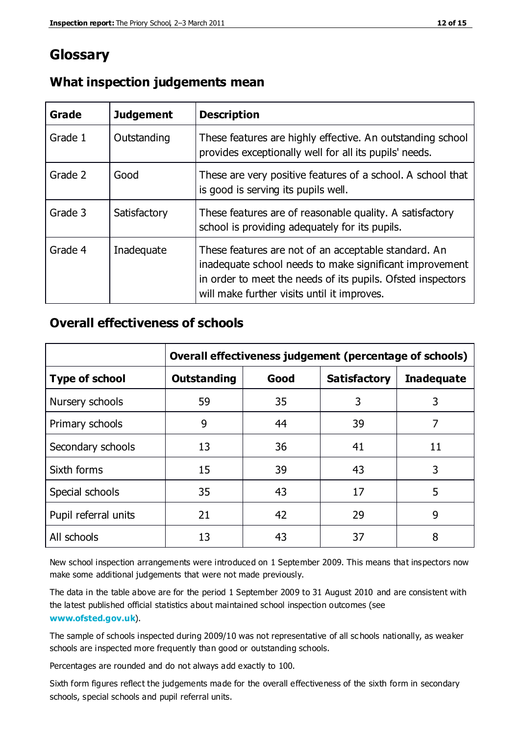# **Glossary**

| Grade   | <b>Judgement</b> | <b>Description</b>                                                                                                                                                                                                            |
|---------|------------------|-------------------------------------------------------------------------------------------------------------------------------------------------------------------------------------------------------------------------------|
| Grade 1 | Outstanding      | These features are highly effective. An outstanding school<br>provides exceptionally well for all its pupils' needs.                                                                                                          |
| Grade 2 | Good             | These are very positive features of a school. A school that<br>is good is serving its pupils well.                                                                                                                            |
| Grade 3 | Satisfactory     | These features are of reasonable quality. A satisfactory<br>school is providing adequately for its pupils.                                                                                                                    |
| Grade 4 | Inadequate       | These features are not of an acceptable standard. An<br>inadequate school needs to make significant improvement<br>in order to meet the needs of its pupils. Ofsted inspectors<br>will make further visits until it improves. |

#### **What inspection judgements mean**

#### **Overall effectiveness of schools**

|                       | Overall effectiveness judgement (percentage of schools) |      |                     |                   |
|-----------------------|---------------------------------------------------------|------|---------------------|-------------------|
| <b>Type of school</b> | <b>Outstanding</b>                                      | Good | <b>Satisfactory</b> | <b>Inadequate</b> |
| Nursery schools       | 59                                                      | 35   | 3                   | 3                 |
| Primary schools       | 9                                                       | 44   | 39                  | 7                 |
| Secondary schools     | 13                                                      | 36   | 41                  | 11                |
| Sixth forms           | 15                                                      | 39   | 43                  | 3                 |
| Special schools       | 35                                                      | 43   | 17                  | 5                 |
| Pupil referral units  | 21                                                      | 42   | 29                  | 9                 |
| All schools           | 13                                                      | 43   | 37                  | 8                 |

New school inspection arrangements were introduced on 1 September 2009. This means that inspectors now make some additional judgements that were not made previously.

The data in the table above are for the period 1 September 2009 to 31 August 2010 and are consistent with the latest published official statistics about maintained school inspection outcomes (see **[www.ofsted.gov.uk](http://www.ofsted.gov.uk/)**).

The sample of schools inspected during 2009/10 was not representative of all sc hools nationally, as weaker schools are inspected more frequently than good or outstanding schools.

Percentages are rounded and do not always add exactly to 100.

Sixth form figures reflect the judgements made for the overall effectiveness of the sixth form in secondary schools, special schools and pupil referral units.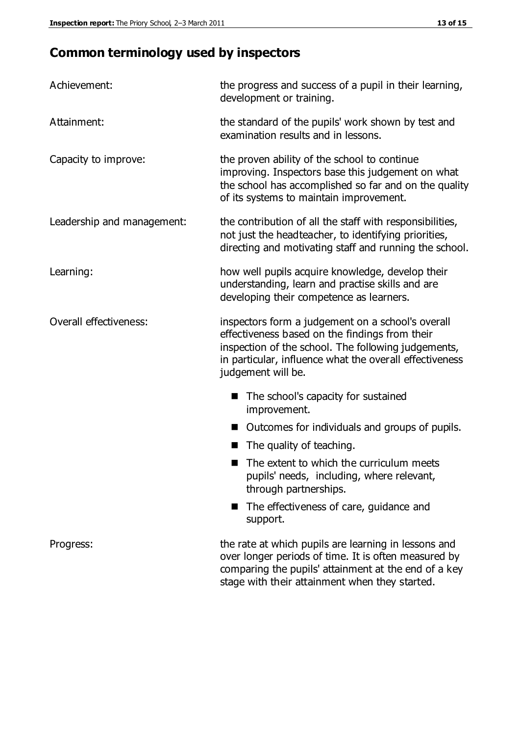# **Common terminology used by inspectors**

| Achievement:                  | the progress and success of a pupil in their learning,<br>development or training.                                                                                                                                                          |  |  |
|-------------------------------|---------------------------------------------------------------------------------------------------------------------------------------------------------------------------------------------------------------------------------------------|--|--|
| Attainment:                   | the standard of the pupils' work shown by test and<br>examination results and in lessons.                                                                                                                                                   |  |  |
| Capacity to improve:          | the proven ability of the school to continue<br>improving. Inspectors base this judgement on what<br>the school has accomplished so far and on the quality<br>of its systems to maintain improvement.                                       |  |  |
| Leadership and management:    | the contribution of all the staff with responsibilities,<br>not just the headteacher, to identifying priorities,<br>directing and motivating staff and running the school.                                                                  |  |  |
| Learning:                     | how well pupils acquire knowledge, develop their<br>understanding, learn and practise skills and are<br>developing their competence as learners.                                                                                            |  |  |
| <b>Overall effectiveness:</b> | inspectors form a judgement on a school's overall<br>effectiveness based on the findings from their<br>inspection of the school. The following judgements,<br>in particular, influence what the overall effectiveness<br>judgement will be. |  |  |
|                               | The school's capacity for sustained<br>improvement.                                                                                                                                                                                         |  |  |
|                               | Outcomes for individuals and groups of pupils.                                                                                                                                                                                              |  |  |
|                               | The quality of teaching.                                                                                                                                                                                                                    |  |  |
|                               | The extent to which the curriculum meets<br>pupils' needs, including, where relevant,<br>through partnerships.                                                                                                                              |  |  |
|                               | The effectiveness of care, guidance and<br>support.                                                                                                                                                                                         |  |  |
| Progress:                     | the rate at which pupils are learning in lessons and<br>over longer periods of time. It is often measured by<br>comparing the pupils' attainment at the end of a key                                                                        |  |  |

stage with their attainment when they started.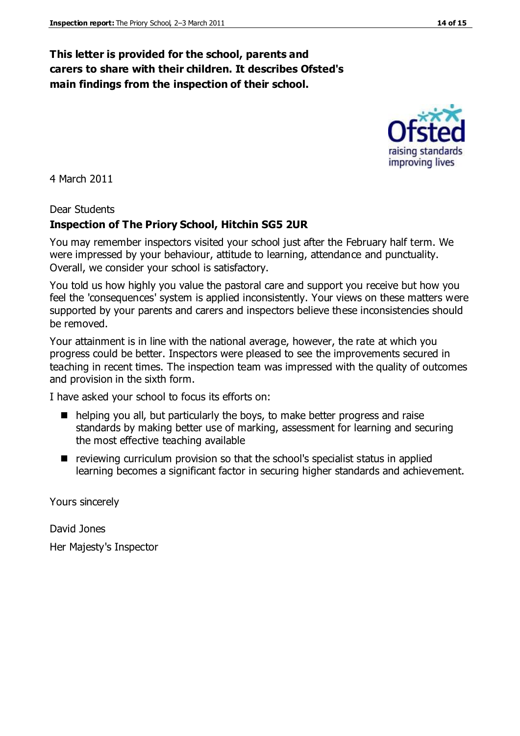#### **This letter is provided for the school, parents and carers to share with their children. It describes Ofsted's main findings from the inspection of their school.**

4 March 2011

Dear Students

#### **Inspection of The Priory School, Hitchin SG5 2UR**

You may remember inspectors visited your school just after the February half term. We were impressed by your behaviour, attitude to learning, attendance and punctuality. Overall, we consider your school is satisfactory.

You told us how highly you value the pastoral care and support you receive but how you feel the 'consequences' system is applied inconsistently. Your views on these matters were supported by your parents and carers and inspectors believe these inconsistencies should be removed.

Your attainment is in line with the national average, however, the rate at which you progress could be better. Inspectors were pleased to see the improvements secured in teaching in recent times. The inspection team was impressed with the quality of outcomes and provision in the sixth form.

I have asked your school to focus its efforts on:

- helping you all, but particularly the boys, to make better progress and raise standards by making better use of marking, assessment for learning and securing the most effective teaching available
- $\blacksquare$  reviewing curriculum provision so that the school's specialist status in applied learning becomes a significant factor in securing higher standards and achievement.

Yours sincerely

David Jones

Her Majesty's Inspector